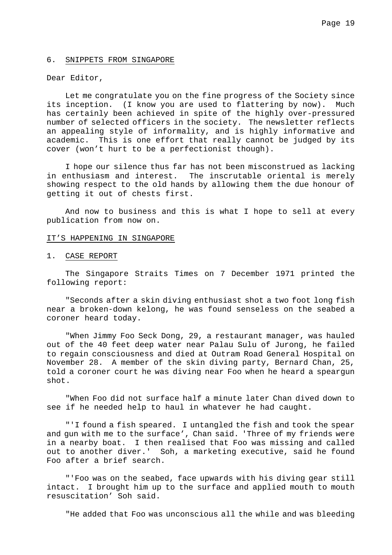### 6. SNIPPETS FROM SINGAPORE

## Dear Editor,

Let me congratulate you on the fine progress of the Society since its inception. (I know you are used to flattering by now). Much has certainly been achieved in spite of the highly over-pressured number of selected officers in the society. The newsletter reflects an appealing style of informality, and is highly informative and academic. This is one effort that really cannot be judged by its cover (won't hurt to be a perfectionist though).

I hope our silence thus far has not been misconstrued as lacking in enthusiasm and interest. The inscrutable oriental is merely showing respect to the old hands by allowing them the due honour of getting it out of chests first.

And now to business and this is what I hope to sell at every publication from now on.

#### IT'S HAPPENING IN SINGAPORE

## 1. CASE REPORT

The Singapore Straits Times on 7 December 1971 printed the following report:

"Seconds after a skin diving enthusiast shot a two foot long fish near a broken-down kelong, he was found senseless on the seabed a coroner heard today.

"When Jimmy Foo Seck Dong, 29, a restaurant manager, was hauled out of the 40 feet deep water near Palau Sulu of Jurong, he failed to regain consciousness and died at Outram Road General Hospital on November 28. A member of the skin diving party, Bernard Chan, 25, told a coroner court he was diving near Foo when he heard a speargun shot.

"When Foo did not surface half a minute later Chan dived down to see if he needed help to haul in whatever he had caught.

"'I found a fish speared. I untangled the fish and took the spear and gun with me to the surface', Chan said. 'Three of my friends were in a nearby boat. I then realised that Foo was missing and called out to another diver.' Soh, a marketing executive, said he found Foo after a brief search.

"'Foo was on the seabed, face upwards with his diving gear still intact. I brought him up to the surface and applied mouth to mouth resuscitation' Soh said.

"He added that Foo was unconscious all the while and was bleeding